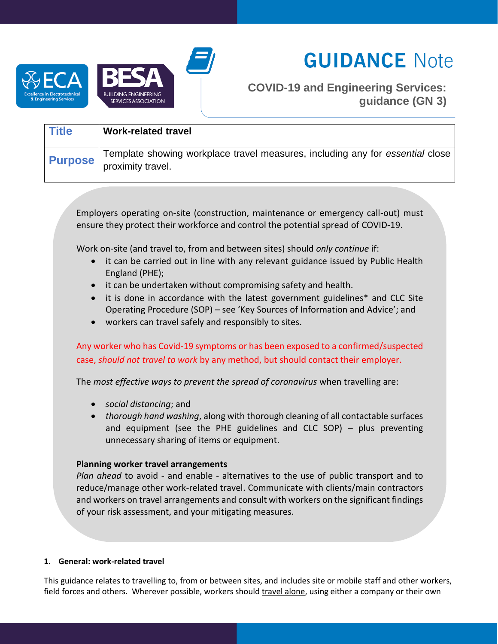



# **GUIDANCE Note**

# **COVID-19 and Engineering Services: guidance (GN 3)**

| <b>Title</b>   | <b>Work-related travel</b>                                                                         |
|----------------|----------------------------------------------------------------------------------------------------|
| <b>Purpose</b> | Template showing workplace travel measures, including any for essential close<br>proximity travel. |

Employers operating on-site (construction, maintenance or emergency call-out) must ensure they protect their workforce and control the potential spread of COVID-19.

Work on-site (and travel to, from and between sites) should *only continue* if:

- it can be carried out in line with any relevant guidance issued by Public Health England (PHE);
- it can be undertaken without compromising safety and health.
- it is done in accordance with the latest government guidelines\* and CLC Site Operating Procedure (SOP) – see 'Key Sources of Information and Advice'; and
- workers can travel safely and responsibly to sites.

# Any worker who has Covid-19 symptoms or has been exposed to a confirmed/suspected case, *should not travel to work* by any method, but should contact their employer.

The *most effective ways to prevent the spread of coronavirus* when travelling are:

- *social distancing*; and
- *thorough hand washing*, along with thorough cleaning of all contactable surfaces and equipment (see the PHE guidelines and CLC SOP)  $-$  plus preventing unnecessary sharing of items or equipment.

# **Planning worker travel arrangements**

*Plan ahead* to avoid - and enable - alternatives to the use of public transport and to reduce/manage other work-related travel. Communicate with clients/main contractors and workers on travel arrangements and consult with workers on the significant findings of your risk assessment, and your mitigating measures.

# **1. General: work-related travel**

This guidance relates to travelling to, from or between sites, and includes site or mobile staff and other workers, field forces and others. Wherever possible, workers should travel alone, using either a company or their own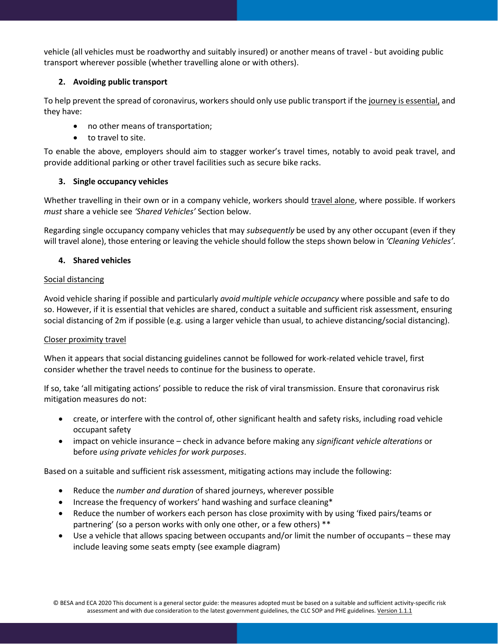vehicle (all vehicles must be roadworthy and suitably insured) or another means of travel - but avoiding public transport wherever possible (whether travelling alone or with others).

### **2. Avoiding public transport**

To help prevent the spread of coronavirus, workers should only use public transport if the journey is essential, and they have:

- no other means of transportation;
- to travel to site.

To enable the above, employers should aim to stagger worker's travel times, notably to avoid peak travel, and provide additional parking or other travel facilities such as secure bike racks.

#### **3. Single occupancy vehicles**

Whether travelling in their own or in a company vehicle, workers should travel alone, where possible. If workers *must* share a vehicle see *'Shared Vehicles'* Section below.

Regarding single occupancy company vehicles that may *subsequently* be used by any other occupant (even if they will travel alone), those entering or leaving the vehicle should follow the steps shown below in *'Cleaning Vehicles'*.

#### **4. Shared vehicles**

#### Social distancing

Avoid vehicle sharing if possible and particularly *avoid multiple vehicle occupancy* where possible and safe to do so. However, if it is essential that vehicles are shared, conduct a suitable and sufficient risk assessment, ensuring social distancing of 2m if possible (e.g. using a larger vehicle than usual, to achieve distancing/social distancing).

#### Closer proximity travel

When it appears that social distancing guidelines cannot be followed for work-related vehicle travel, first consider whether the travel needs to continue for the business to operate.

If so, take 'all mitigating actions' possible to reduce the risk of viral transmission. Ensure that coronavirus risk mitigation measures do not:

- create, or interfere with the control of, other significant health and safety risks, including road vehicle occupant safety
- impact on vehicle insurance check in advance before making any *significant vehicle alterations* or before *using private vehicles for work purposes*.

Based on a suitable and sufficient risk assessment, mitigating actions may include the following:

- Reduce the *number and duration* of shared journeys, wherever possible
- Increase the frequency of workers' hand washing and surface cleaning\*
- Reduce the number of workers each person has close proximity with by using 'fixed pairs/teams or partnering' (so a person works with only one other, or a few others) \*\*
- Use a vehicle that allows spacing between occupants and/or limit the number of occupants these may include leaving some seats empty (see example diagram)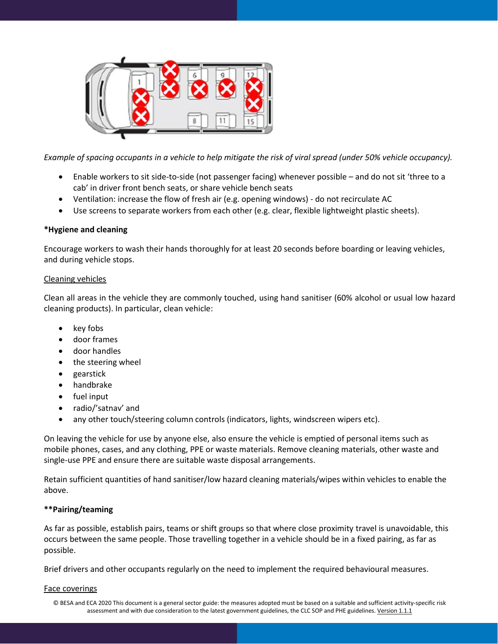

*Example of spacing occupants in a vehicle to help mitigate the risk of viral spread (under 50% vehicle occupancy).* 

- Enable workers to sit side-to-side (not passenger facing) whenever possible and do not sit 'three to a cab' in driver front bench seats, or share vehicle bench seats
- Ventilation: increase the flow of fresh air (e.g. opening windows) do not recirculate AC
- Use screens to separate workers from each other (e.g. clear, flexible lightweight plastic sheets).

# **\*Hygiene and cleaning**

Encourage workers to wash their hands thoroughly for at least 20 seconds before boarding or leaving vehicles, and during vehicle stops.

#### Cleaning vehicles

Clean all areas in the vehicle they are commonly touched, using hand sanitiser (60% alcohol or usual low hazard cleaning products). In particular, clean vehicle:

- key fobs
- door frames
- door handles
- the steering wheel
- gearstick
- handbrake
- fuel input
- radio/'satnav' and
- any other touch/steering column controls (indicators, lights, windscreen wipers etc).

On leaving the vehicle for use by anyone else, also ensure the vehicle is emptied of personal items such as mobile phones, cases, and any clothing, PPE or waste materials. Remove cleaning materials, other waste and single-use PPE and ensure there are suitable waste disposal arrangements.

Retain sufficient quantities of hand sanitiser/low hazard cleaning materials/wipes within vehicles to enable the above.

# **\*\*Pairing/teaming**

As far as possible, establish pairs, teams or shift groups so that where close proximity travel is unavoidable, this occurs between the same people. Those travelling together in a vehicle should be in a fixed pairing, as far as possible.

Brief drivers and other occupants regularly on the need to implement the required behavioural measures.

#### Face coverings

© BESA and ECA 2020 This document is a general sector guide: the measures adopted must be based on a suitable and sufficient activity-specific risk assessment and with due consideration to the latest government guidelines, the CLC SOP and PHE guidelines. Version 1.1.1